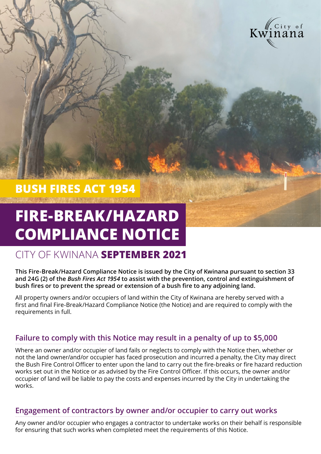

# **BUSH FIRES ACT 1954**

# **FIRE-BREAK/HAZARD COMPLIANCE NOTICE**

# CITY OF KWINANA **SEPTEMBER 2021**

**This Fire-Break/Hazard Compliance Notice is issued by the City of Kwinana pursuant to section 33 and 24G (2) of the** *Bush Fires Act 1954* **to assist with the prevention, control and extinguishment of bush fires or to prevent the spread or extension of a bush fire to any adjoining land.**

All property owners and/or occupiers of land within the City of Kwinana are hereby served with a first and final Fire-Break/Hazard Compliance Notice (the Notice) and are required to comply with the requirements in full.

# **Failure to comply with this Notice may result in a penalty of up to \$5,000**

Where an owner and/or occupier of land fails or neglects to comply with the Notice then, whether or not the land owner/and/or occupier has faced prosecution and incurred a penalty, the City may direct the Bush Fire Control Officer to enter upon the land to carry out the fire-breaks or fire hazard reduction works set out in the Notice or as advised by the Fire Control Officer. If this occurs, the owner and/or occupier of land will be liable to pay the costs and expenses incurred by the City in undertaking the works.

## **Engagement of contractors by owner and/or occupier to carry out works**

Any owner and/or occupier who engages a contractor to undertake works on their behalf is responsible for ensuring that such works when completed meet the requirements of this Notice.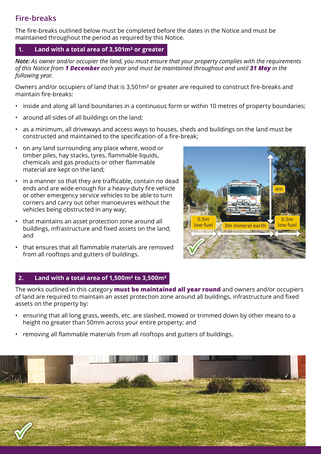# **Fire-breaks**

The fire-breaks outlined below must be completed before the dates in the Notice and must be maintained throughout the period as required by this Notice.

#### **1. Land with a total area of 3,501m² or greater**

*Note: As owner and/or occupier the land, you must ensure that your property complies with the requirements of this Notice from 1 December each year and must be maintained throughout and until 31 May in the following year.*

Owners and/or occupiers of land that is 3,501m² or greater are required to construct fire-breaks and maintain fire-breaks:

- inside and along all land boundaries in a continuous form or within 10 metres of property boundaries;
- around all sides of all buildings on the land;
- as a minimum, all driveways and access ways to houses, sheds and buildings on the land must be constructed and maintained to the specification of a fire-break;
- on any land surrounding any place where, wood or timber piles, hay stacks, tyres, flammable liquids, chemicals and gas products or other flammable material are kept on the land;
- in a manner so that they are trafficable, contain no dead ends and are wide enough for a heavy-duty fire vehicle or other emergency service vehicles to be able to turn corners and carry out other manoeuvres without the vehicles being obstructed in any way;
- that maintains an asset protection zone around all buildings, infrastructure and fixed assets on the land; and
- that ensures that all flammable materials are removed from all rooftops and gutters of buildings.



#### **2. Land with a total area of 1,500m² to 3,500m²**

The works outlined in this category **must be maintained all year round** and owners and/or occupiers of land are required to maintain an asset protection zone around all buildings, infrastructure and fixed assets on the property by:

- ensuring that all long grass, weeds, etc. are slashed, mowed or trimmed down by other means to a height no greater than 50mm across your entire property; and
- removing all flammable materials from all rooftops and gutters of buildings.

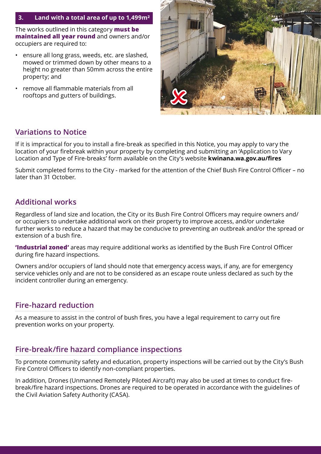#### **3. Land with a total area of up to 1,499m²**

The works outlined in this category **must be maintained all year round** and owners and/or occupiers are required to:

- ensure all long grass, weeds, etc. are slashed, mowed or trimmed down by other means to a height no greater than 50mm across the entire property; and
- remove all flammable materials from all rooftops and gutters of buildings.



## **Variations to Notice**

If it is impractical for you to install a fire-break as specified in this Notice, you may apply to vary the location of your firebreak within your property by completing and submitting an 'Application to Vary Location and Type of Fire-breaks' form available on the City's website **kwinana.wa.gov.au/fires**

Submit completed forms to the City - marked for the attention of the Chief Bush Fire Control Officer – no later than 31 October.

# **Additional works**

Regardless of land size and location, the City or its Bush Fire Control Officers may require owners and/ or occupiers to undertake additional work on their property to improve access, and/or undertake further works to reduce a hazard that may be conducive to preventing an outbreak and/or the spread or extension of a bush fire.

**'Industrial zoned'** areas may require additional works as identified by the Bush Fire Control Officer during fire hazard inspections.

Owners and/or occupiers of land should note that emergency access ways, if any, are for emergency service vehicles only and are not to be considered as an escape route unless declared as such by the incident controller during an emergency.

## **Fire-hazard reduction**

As a measure to assist in the control of bush fires, you have a legal requirement to carry out fire prevention works on your property.

# **Fire-break/fire hazard compliance inspections**

To promote community safety and education, property inspections will be carried out by the City's Bush Fire Control Officers to identify non-compliant properties.

In addition, Drones (Unmanned Remotely Piloted Aircraft) may also be used at times to conduct firebreak/fire hazard inspections. Drones are required to be operated in accordance with the guidelines of the Civil Aviation Safety Authority (CASA).